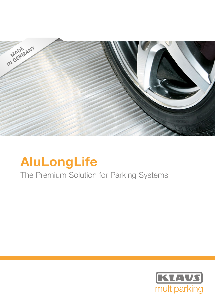

# AluLongLife

## The Premium Solution for Parking Systems

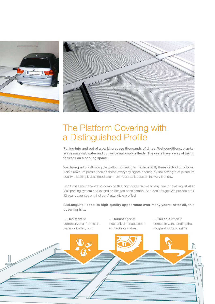



### The Platform Covering with a Distinguished Profile

Pulling into and out of a parking space thousands of times. Wet conditions, cracks, aggressive salt water and corrosive automobile fluids. The years have a way of taking their toll on a parking space.

We developed our AluLongLife platform covering to master exactly these kinds of conditions. This aluminum profile tackles these everyday rigors backed by the strength of premium quality – looking just as good after many years as it does on the very first day.

Don't miss your chance to combine this high-grade fixture to any new or existing KLAUS Multiparking system and extend its lifespan considerably. And don't forget: We provide a full 12-year guarantee on all of our AluLongLife profiles!

AluLongLife keeps its high-quality appearance over many years. After all, this covering is …

… Resistant to corrosion, e. g. from saltwater or battery acid.

… Robust against mechanical impacts such as cracks or spikes.

… Reliable when it comes to withstanding the toughest dirt and grime.

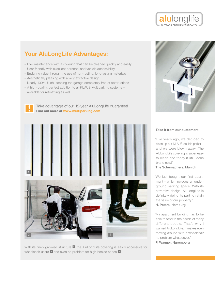### Your AluLongLife Advantages:

- Low maintenance with a covering that can be cleaned quickly and easily
- User-friendly with excellent personal and vehicle accessibility
- Enduring value through the use of non-rusting, long-lasting materials
- Aesthetically pleasing with a very attractive design
- Nearly 100 % flush, keeping the garage completely free of obstructions
- A high-quality, perfect addition to all KLAUS Multiparking systems available for retrofitting as well



 Take advantage of our 12-year AluLongLife guarantee! Find out more at www.multiparking.com



With its finely grooved structure  $\Box$  the AluLongLife covering is easily accessible for wheelchair users 2 and even no problem for high-heeled shoes 3



alulonglife **12 YEARS PREMIUM WARRANT** 

#### Take it from our customers:

" Five years ago, we decided to clean up our KLAUS double parker – and we were blown away! The AluLongLife covering is super easy to clean and today it still looks brand new!"

#### The Schumachers, Munich

" We just bought our first apartment – which includes an underground parking space. With its attractive design, AluLongLife is definitely doing its part to retain the value of our property." H. Peters, Hamburg

" My apartment building has to be able to tend to the needs of many different people. That's why I wanted AluLongLife. It makes even moving around with a wheelchair no problem whatsoever."

P. Wagner, Nuremberg